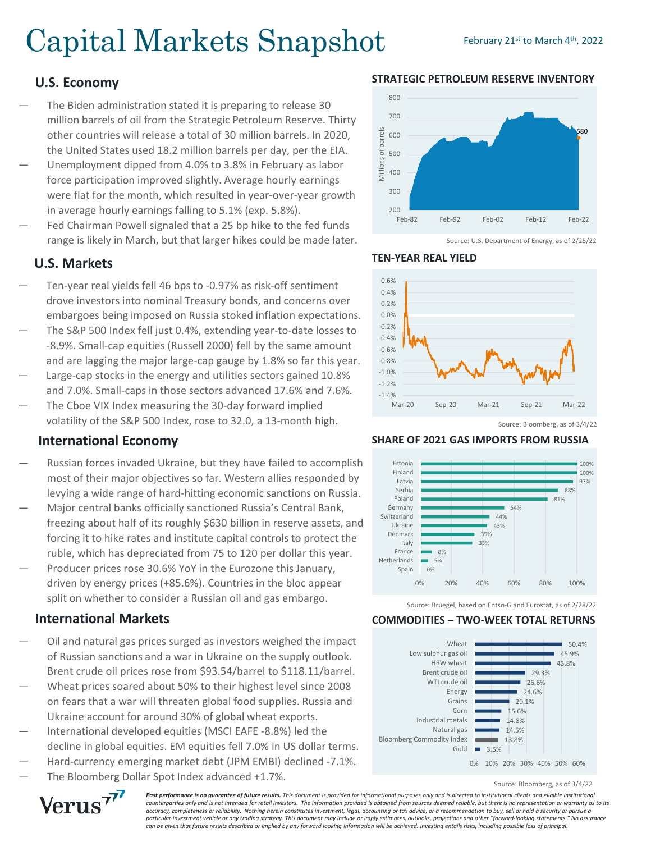# Capital Markets Snapshot February 21st to March 4th, 2022

# **U.S. Economy**

- The Biden administration stated it is preparing to release 30 million barrels of oil from the Strategic Petroleum Reserve. Thirty other countries will release a total of 30 million barrels. In 2020, the United States used 18.2 million barrels per day, per the EIA.
- Unemployment dipped from 4.0% to 3.8% in February as labor force participation improved slightly. Average hourly earnings were flat for the month, which resulted in year-over-year growth in average hourly earnings falling to 5.1% (exp. 5.8%).
- Fed Chairman Powell signaled that a 25 bp hike to the fed funds range is likely in March, but that larger hikes could be made later.

## **U.S. Markets**

- Ten-year real yields fell 46 bps to -0.97% as risk-off sentiment drove investors into nominal Treasury bonds, and concerns over embargoes being imposed on Russia stoked inflation expectations.
- The S&P 500 Index fell just 0.4%, extending year-to-date losses to -8.9%. Small-cap equities (Russell 2000) fell by the same amount and are lagging the major large-cap gauge by 1.8% so far this year.
- Large-cap stocks in the energy and utilities sectors gained 10.8% and 7.0%. Small-caps in those sectors advanced 17.6% and 7.6%.
- The Cboe VIX Index measuring the 30-day forward implied volatility of the S&P 500 Index, rose to 32.0, a 13-month high.

# **International Economy**

- Russian forces invaded Ukraine, but they have failed to accomplish most of their major objectives so far. Western allies responded by levying a wide range of hard-hitting economic sanctions on Russia.
- Major central banks officially sanctioned Russia's Central Bank, freezing about half of its roughly \$630 billion in reserve assets, and forcing it to hike rates and institute capital controls to protect the ruble, which has depreciated from 75 to 120 per dollar this year.
- Producer prices rose 30.6% YoY in the Eurozone this January, driven by energy prices (+85.6%). Countries in the bloc appear split on whether to consider a Russian oil and gas embargo.

### **International Markets**

- Oil and natural gas prices surged as investors weighed the impact of Russian sanctions and a war in Ukraine on the supply outlook. Brent crude oil prices rose from \$93.54/barrel to \$118.11/barrel.
- Wheat prices soared about 50% to their highest level since 2008 on fears that a war will threaten global food supplies. Russia and Ukraine account for around 30% of global wheat exports.
- International developed equities (MSCI EAFE -8.8%) led the decline in global equities. EM equities fell 7.0% in US dollar terms.
- Hard-currency emerging market debt (JPM EMBI) declined -7.1%.
- The Bloomberg Dollar Spot Index advanced +1.7%.

800 700 of barrels Millions of barrels 580 600 500 Millions 400 300  $200$ Feb-82 Feb-92 Feb-02 Feb-12 Feb-22

**STRATEGIC PETROLEUM RESERVE INVENTORY**



Source: U.S. Department of Energy, as of 2/25/22



#### **TEN-YEAR REAL YIELD**

#### **SHARE OF 2021 GAS IMPORTS FROM RUSSIA**



Source: Bruegel, based on Entso-G and Eurostat, as of 2/28/22

#### **COMMODITIES – TWO-WEEK TOTAL RETURNS**



Source: Bloomberg, as of 3/4/22



**Past performance is no guarantee of future results.** This document is provided for informational purposes only and is directed to institutional clients and eligible institutional *counterparties only and is not intended for retail investors. The information provided is obtained from sources deemed reliable, but there is no representation or warranty as to its accuracy, completeness or reliability. Nothing herein constitutes investment, legal, accounting or tax advice, or a recommendation to buy, sell or hold a security or pursue a particular investment vehicle or any trading strategy. This document may include or imply estimates, outlooks, projections and other "forward-looking statements." No assurance can be given that future results described or implied by any forward looking information will be achieved. Investing entails risks, including possible loss of principal.*

Source: Bloomberg, as of 3/4/22